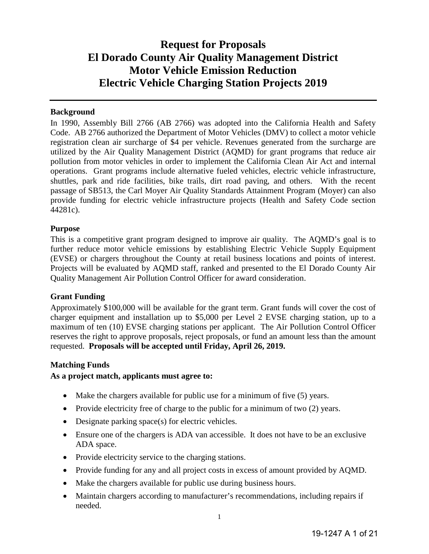## **Request for Proposals El Dorado County Air Quality Management District Motor Vehicle Emission Reduction Electric Vehicle Charging Station Projects 2019**

#### **Background**

In 1990, Assembly Bill 2766 (AB 2766) was adopted into the California Health and Safety Code. AB 2766 authorized the Department of Motor Vehicles (DMV) to collect a motor vehicle registration clean air surcharge of \$4 per vehicle. Revenues generated from the surcharge are utilized by the Air Quality Management District (AQMD) for grant programs that reduce air pollution from motor vehicles in order to implement the California Clean Air Act and internal operations. Grant programs include alternative fueled vehicles, electric vehicle infrastructure, shuttles, park and ride facilities, bike trails, dirt road paving, and others. With the recent passage of SB513, the Carl Moyer Air Quality Standards Attainment Program (Moyer) can also provide funding for electric vehicle infrastructure projects (Health and Safety Code section 44281c).

#### **Purpose**

This is a competitive grant program designed to improve air quality. The AQMD's goal is to further reduce motor vehicle emissions by establishing Electric Vehicle Supply Equipment (EVSE) or chargers throughout the County at retail business locations and points of interest. Projects will be evaluated by AQMD staff, ranked and presented to the El Dorado County Air Quality Management Air Pollution Control Officer for award consideration.

#### **Grant Funding**

Approximately \$100,000 will be available for the grant term. Grant funds will cover the cost of charger equipment and installation up to \$5,000 per Level 2 EVSE charging station, up to a maximum of ten (10) EVSE charging stations per applicant. The Air Pollution Control Officer reserves the right to approve proposals, reject proposals, or fund an amount less than the amount requested. **Proposals will be accepted until Friday, April 26, 2019.** 

#### **Matching Funds**

#### **As a project match, applicants must agree to:**

- Make the chargers available for public use for a minimum of five (5) years.
- Provide electricity free of charge to the public for a minimum of two (2) years.
- Designate parking space(s) for electric vehicles.
- Ensure one of the chargers is ADA van accessible. It does not have to be an exclusive ADA space.
- Provide electricity service to the charging stations.
- Provide funding for any and all project costs in excess of amount provided by AOMD.
- Make the chargers available for public use during business hours.
- Maintain chargers according to manufacturer's recommendations, including repairs if needed.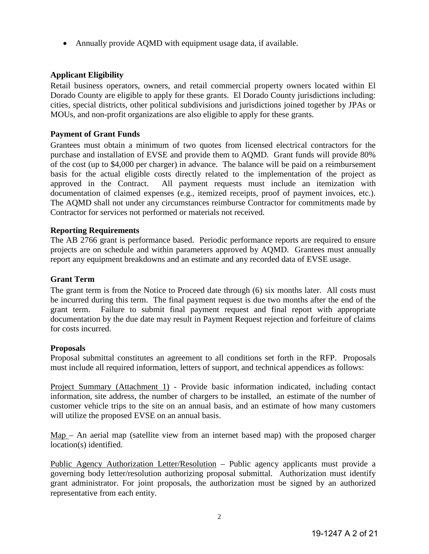• Annually provide AQMD with equipment usage data, if available.

#### **Applicant Eligibility**

Retail business operators, owners, and retail commercial property owners located within El Dorado County are eligible to apply for these grants. El Dorado County jurisdictions including: cities, special districts, other political subdivisions and jurisdictions joined together by JPAs or MOUs, and non-profit organizations are also eligible to apply for these grants.

#### **Payment of Grant Funds**

Grantees must obtain a minimum of two quotes from licensed electrical contractors for the purchase and installation of EVSE and provide them to AQMD. Grant funds will provide 80% of the cost (up to \$4,000 per charger) in advance. The balance will be paid on a reimbursement basis for the actual eligible costs directly related to the implementation of the project as approved in the Contract. All payment requests must include an itemization with documentation of claimed expenses (e.g., itemized receipts, proof of payment invoices, etc.). The AQMD shall not under any circumstances reimburse Contractor for commitments made by Contractor for services not performed or materials not received.

#### **Reporting Requirements**

The AB 2766 grant is performance based. Periodic performance reports are required to ensure projects are on schedule and within parameters approved by AQMD. Grantees must annually report any equipment breakdowns and an estimate and any recorded data of EVSE usage.

#### **Grant Term**

The grant term is from the Notice to Proceed date through (6) six months later. All costs must be incurred during this term. The final payment request is due two months after the end of the grant term. Failure to submit final payment request and final report with appropriate documentation by the due date may result in Payment Request rejection and forfeiture of claims for costs incurred.

#### **Proposals**

Proposal submittal constitutes an agreement to all conditions set forth in the RFP. Proposals must include all required information, letters of support, and technical appendices as follows:

Project Summary (Attachment 1) - Provide basic information indicated, including contact information, site address, the number of chargers to be installed, an estimate of the number of customer vehicle trips to the site on an annual basis, and an estimate of how many customers will utilize the proposed EVSE on an annual basis.

Map – An aerial map (satellite view from an internet based map) with the proposed charger location(s) identified.

Public Agency Authorization Letter/Resolution – Public agency applicants must provide a governing body letter/resolution authorizing proposal submittal. Authorization must identify grant administrator. For joint proposals, the authorization must be signed by an authorized representative from each entity.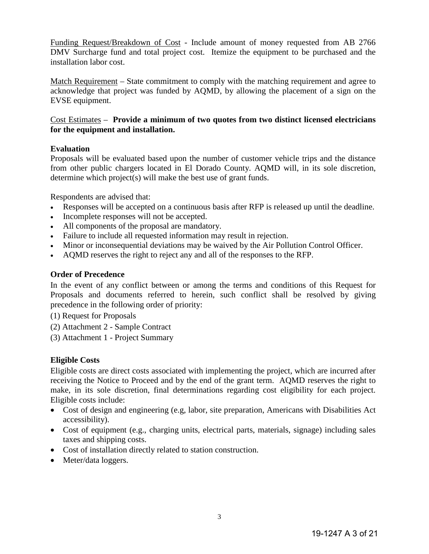Funding Request/Breakdown of Cost - Include amount of money requested from AB 2766 DMV Surcharge fund and total project cost. Itemize the equipment to be purchased and the installation labor cost.

Match Requirement – State commitment to comply with the matching requirement and agree to acknowledge that project was funded by AQMD, by allowing the placement of a sign on the EVSE equipment.

#### Cost Estimates – **Provide a minimum of two quotes from two distinct licensed electricians for the equipment and installation.**

#### **Evaluation**

Proposals will be evaluated based upon the number of customer vehicle trips and the distance from other public chargers located in El Dorado County. AQMD will, in its sole discretion, determine which project(s) will make the best use of grant funds.

Respondents are advised that:

- Responses will be accepted on a continuous basis after RFP is released up until the deadline.
- Incomplete responses will not be accepted.
- All components of the proposal are mandatory.
- Failure to include all requested information may result in rejection.
- Minor or inconsequential deviations may be waived by the Air Pollution Control Officer.
- AQMD reserves the right to reject any and all of the responses to the RFP.

#### **Order of Precedence**

In the event of any conflict between or among the terms and conditions of this Request for Proposals and documents referred to herein, such conflict shall be resolved by giving precedence in the following order of priority:

(1) Request for Proposals

- (2) Attachment 2 Sample Contract
- (3) Attachment 1 Project Summary

#### **Eligible Costs**

Eligible costs are direct costs associated with implementing the project, which are incurred after receiving the Notice to Proceed and by the end of the grant term. AQMD reserves the right to make, in its sole discretion, final determinations regarding cost eligibility for each project. Eligible costs include:

- Cost of design and engineering (e.g, labor, site preparation, Americans with Disabilities Act accessibility).
- Cost of equipment (e.g., charging units, electrical parts, materials, signage) including sales taxes and shipping costs.
- Cost of installation directly related to station construction.
- Meter/data loggers.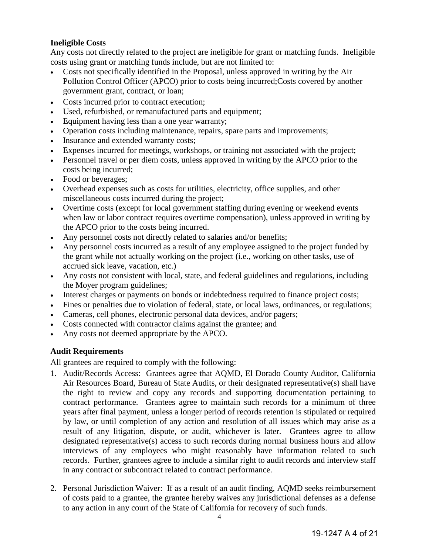#### **Ineligible Costs**

Any costs not directly related to the project are ineligible for grant or matching funds. Ineligible costs using grant or matching funds include, but are not limited to:

- Costs not specifically identified in the Proposal, unless approved in writing by the Air Pollution Control Officer (APCO) prior to costs being incurred;Costs covered by another government grant, contract, or loan;
- Costs incurred prior to contract execution;
- Used, refurbished, or remanufactured parts and equipment;
- Equipment having less than a one year warranty;
- Operation costs including maintenance, repairs, spare parts and improvements;
- Insurance and extended warranty costs;
- Expenses incurred for meetings, workshops, or training not associated with the project;
- Personnel travel or per diem costs, unless approved in writing by the APCO prior to the costs being incurred;
- Food or beverages;
- Overhead expenses such as costs for utilities, electricity, office supplies, and other miscellaneous costs incurred during the project;
- Overtime costs (except for local government staffing during evening or weekend events when law or labor contract requires overtime compensation), unless approved in writing by the APCO prior to the costs being incurred.
- Any personnel costs not directly related to salaries and/or benefits;
- Any personnel costs incurred as a result of any employee assigned to the project funded by the grant while not actually working on the project (i.e., working on other tasks, use of accrued sick leave, vacation, etc.)
- Any costs not consistent with local, state, and federal guidelines and regulations, including the Moyer program guidelines;
- Interest charges or payments on bonds or indebtedness required to finance project costs;
- Fines or penalties due to violation of federal, state, or local laws, ordinances, or regulations;
- Cameras, cell phones, electronic personal data devices, and/or pagers;
- Costs connected with contractor claims against the grantee; and
- Any costs not deemed appropriate by the APCO.

#### **Audit Requirements**

All grantees are required to comply with the following:

- 1. Audit/Records Access: Grantees agree that AQMD, El Dorado County Auditor, California Air Resources Board, Bureau of State Audits, or their designated representative(s) shall have the right to review and copy any records and supporting documentation pertaining to contract performance. Grantees agree to maintain such records for a minimum of three years after final payment, unless a longer period of records retention is stipulated or required by law, or until completion of any action and resolution of all issues which may arise as a result of any litigation, dispute, or audit, whichever is later. Grantees agree to allow designated representative(s) access to such records during normal business hours and allow interviews of any employees who might reasonably have information related to such records. Further, grantees agree to include a similar right to audit records and interview staff in any contract or subcontract related to contract performance.
- 2. Personal Jurisdiction Waiver: If as a result of an audit finding, AQMD seeks reimbursement of costs paid to a grantee, the grantee hereby waives any jurisdictional defenses as a defense to any action in any court of the State of California for recovery of such funds.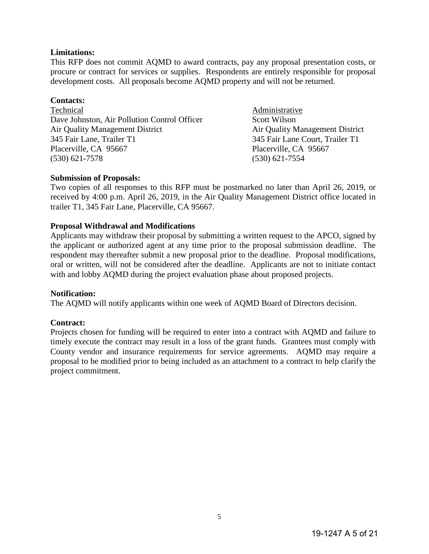#### **Limitations:**

This RFP does not commit AQMD to award contracts, pay any proposal presentation costs, or procure or contract for services or supplies. Respondents are entirely responsible for proposal development costs. All proposals become AQMD property and will not be returned.

#### **Contacts:**

Technical Administrative Dave Johnston, Air Pollution Control Officer Scott Wilson Air Quality Management District Air Quality Management District 345 Fair Lane. Trailer T1 345 Fair Lane Court, Trailer T1 Placerville, CA 95667 Placerville, CA 95667 (530) 621-7578 (530) 621-7554

345 Fair Lane Court, Trailer T1

#### **Submission of Proposals:**

Two copies of all responses to this RFP must be postmarked no later than April 26, 2019, or received by 4:00 p.m. April 26, 2019, in the Air Quality Management District office located in trailer T1, 345 Fair Lane, Placerville, CA 95667.

#### **Proposal Withdrawal and Modifications**

Applicants may withdraw their proposal by submitting a written request to the APCO, signed by the applicant or authorized agent at any time prior to the proposal submission deadline. The respondent may thereafter submit a new proposal prior to the deadline. Proposal modifications, oral or written, will not be considered after the deadline. Applicants are not to initiate contact with and lobby AQMD during the project evaluation phase about proposed projects.

#### **Notification:**

The AQMD will notify applicants within one week of AQMD Board of Directors decision.

#### **Contract:**

Projects chosen for funding will be required to enter into a contract with AQMD and failure to timely execute the contract may result in a loss of the grant funds. Grantees must comply with County vendor and insurance requirements for service agreements. AQMD may require a proposal to be modified prior to being included as an attachment to a contract to help clarify the project commitment.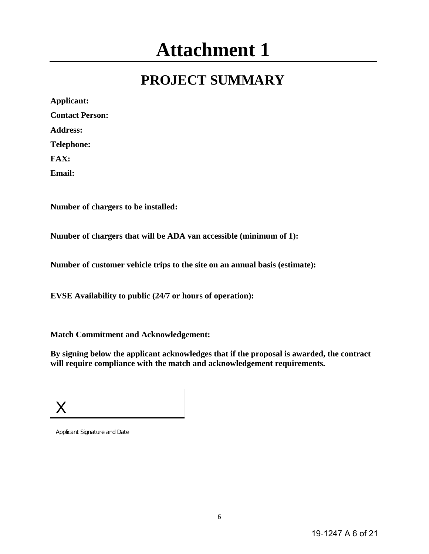# **Attachment 1**

# **PROJECT SUMMARY**

| Applicant:             |
|------------------------|
| <b>Contact Person:</b> |
| <b>Address:</b>        |
| <b>Telephone:</b>      |
| FAX:                   |
| Email:                 |

**Number of chargers to be installed:**

**Number of chargers that will be ADA van accessible (minimum of 1):**

**Number of customer vehicle trips to the site on an annual basis (estimate):**

**EVSE Availability to public (24/7 or hours of operation):**

**Match Commitment and Acknowledgement:** 

**By signing below the applicant acknowledges that if the proposal is awarded, the contract will require compliance with the match and acknowledgement requirements.**

X

Applicant Signature and Date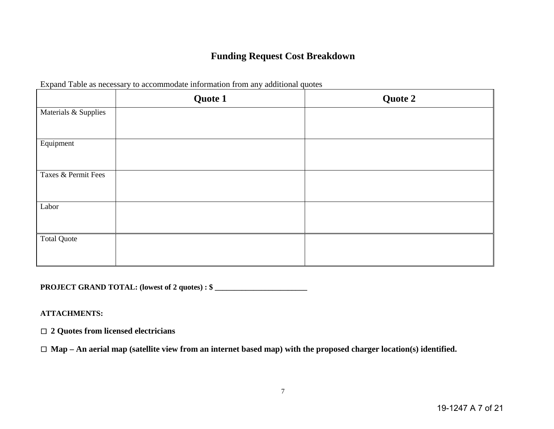### **Funding Request Cost Breakdown**

|                      | Quote 1 | Quote 2 |
|----------------------|---------|---------|
| Materials & Supplies |         |         |
|                      |         |         |
| Equipment            |         |         |
|                      |         |         |
| Taxes & Permit Fees  |         |         |
|                      |         |         |
| Labor                |         |         |
|                      |         |         |
| <b>Total Quote</b>   |         |         |
|                      |         |         |

Expand Table as necessary to accommodate information from any additional quotes

**PROJECT GRAND TOTAL: (lowest of 2 quotes) : \$ \_\_\_\_\_\_\_\_\_\_\_\_\_\_\_\_\_\_\_\_\_\_\_\_\_\_\_\_\_\_\_\_\_** 

#### **ATTACHMENTS:**

☐ **2 Quotes from licensed electricians**

☐ **Map – An aerial map (satellite view from an internet based map) with the proposed charger location(s) identified.**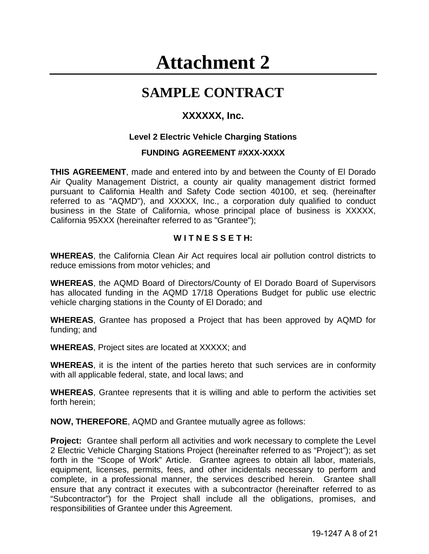# **Attachment 2**

# **SAMPLE CONTRACT**

### **XXXXXX, Inc.**

#### **Level 2 Electric Vehicle Charging Stations**

#### **FUNDING AGREEMENT #XXX-XXXX**

**THIS AGREEMENT**, made and entered into by and between the County of El Dorado Air Quality Management District, a county air quality management district formed pursuant to California Health and Safety Code section 40100, et seq. (hereinafter referred to as "AQMD"), and XXXXX, Inc., a corporation duly qualified to conduct business in the State of California, whose principal place of business is XXXXX, California 95XXX (hereinafter referred to as "Grantee");

#### **W I T N E S S E T H:**

**WHEREAS**, the California Clean Air Act requires local air pollution control districts to reduce emissions from motor vehicles; and

**WHEREAS**, the AQMD Board of Directors/County of El Dorado Board of Supervisors has allocated funding in the AQMD 17/18 Operations Budget for public use electric vehicle charging stations in the County of El Dorado; and

**WHEREAS**, Grantee has proposed a Project that has been approved by AQMD for funding; and

**WHEREAS**, Project sites are located at XXXXX; and

**WHEREAS**, it is the intent of the parties hereto that such services are in conformity with all applicable federal, state, and local laws; and

**WHEREAS**, Grantee represents that it is willing and able to perform the activities set forth herein;

**NOW, THEREFORE**, AQMD and Grantee mutually agree as follows:

**Project:** Grantee shall perform all activities and work necessary to complete the Level 2 Electric Vehicle Charging Stations Project (hereinafter referred to as "Project"); as set forth in the "Scope of Work" Article. Grantee agrees to obtain all labor, materials, equipment, licenses, permits, fees, and other incidentals necessary to perform and complete, in a professional manner, the services described herein. Grantee shall ensure that any contract it executes with a subcontractor (hereinafter referred to as "Subcontractor") for the Project shall include all the obligations, promises, and responsibilities of Grantee under this Agreement.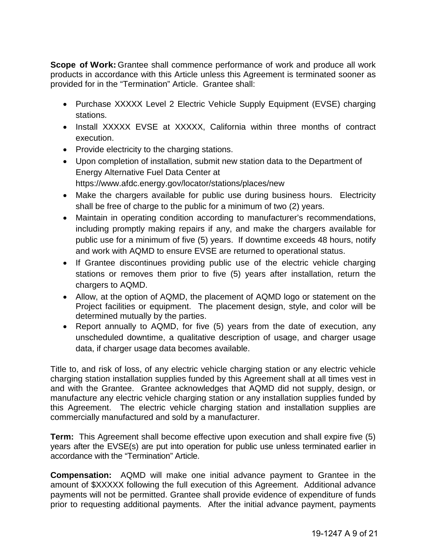**Scope of Work:** Grantee shall commence performance of work and produce all work products in accordance with this Article unless this Agreement is terminated sooner as provided for in the "Termination" Article. Grantee shall:

- Purchase XXXXX Level 2 Electric Vehicle Supply Equipment (EVSE) charging stations.
- Install XXXXX EVSE at XXXXX, California within three months of contract execution.
- Provide electricity to the charging stations.
- Upon completion of installation, submit new station data to the Department of Energy Alternative Fuel Data Center at
	- https://www.afdc.energy.gov/locator/stations/places/new
- Make the chargers available for public use during business hours. Electricity shall be free of charge to the public for a minimum of two (2) years.
- Maintain in operating condition according to manufacturer's recommendations, including promptly making repairs if any, and make the chargers available for public use for a minimum of five (5) years. If downtime exceeds 48 hours, notify and work with AQMD to ensure EVSE are returned to operational status.
- If Grantee discontinues providing public use of the electric vehicle charging stations or removes them prior to five (5) years after installation, return the chargers to AQMD.
- Allow, at the option of AQMD, the placement of AQMD logo or statement on the Project facilities or equipment. The placement design, style, and color will be determined mutually by the parties.
- Report annually to AQMD, for five (5) years from the date of execution, any unscheduled downtime, a qualitative description of usage, and charger usage data, if charger usage data becomes available.

Title to, and risk of loss, of any electric vehicle charging station or any electric vehicle charging station installation supplies funded by this Agreement shall at all times vest in and with the Grantee. Grantee acknowledges that AQMD did not supply, design, or manufacture any electric vehicle charging station or any installation supplies funded by this Agreement. The electric vehicle charging station and installation supplies are commercially manufactured and sold by a manufacturer.

**Term:** This Agreement shall become effective upon execution and shall expire five (5) years after the EVSE(s) are put into operation for public use unless terminated earlier in accordance with the "Termination" Article.

**Compensation:** AQMD will make one initial advance payment to Grantee in the amount of \$XXXXX following the full execution of this Agreement. Additional advance payments will not be permitted. Grantee shall provide evidence of expenditure of funds prior to requesting additional payments. After the initial advance payment, payments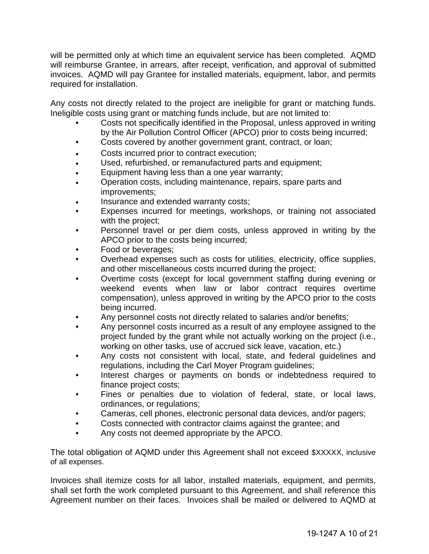will be permitted only at which time an equivalent service has been completed. AQMD will reimburse Grantee, in arrears, after receipt, verification, and approval of submitted invoices. AQMD will pay Grantee for installed materials, equipment, labor, and permits required for installation.

Any costs not directly related to the project are ineligible for grant or matching funds. Ineligible costs using grant or matching funds include, but are not limited to:

- Costs not specifically identified in the Proposal, unless approved in writing by the Air Pollution Control Officer (APCO) prior to costs being incurred;
- Costs covered by another government grant, contract, or loan;
- Costs incurred prior to contract execution;
- Used, refurbished, or remanufactured parts and equipment;
- Equipment having less than a one year warranty;
- Operation costs, including maintenance, repairs, spare parts and improvements;
- Insurance and extended warranty costs;
- Expenses incurred for meetings, workshops, or training not associated with the project;
- Personnel travel or per diem costs, unless approved in writing by the APCO prior to the costs being incurred;
- Food or beverages;
- Overhead expenses such as costs for utilities, electricity, office supplies, and other miscellaneous costs incurred during the project;
- Overtime costs (except for local government staffing during evening or weekend events when law or labor contract requires overtime compensation), unless approved in writing by the APCO prior to the costs being incurred.
- Any personnel costs not directly related to salaries and/or benefits;
- Any personnel costs incurred as a result of any employee assigned to the project funded by the grant while not actually working on the project (i.e., working on other tasks, use of accrued sick leave, vacation, etc.)
- Any costs not consistent with local, state, and federal guidelines and regulations, including the Carl Moyer Program guidelines;
- Interest charges or payments on bonds or indebtedness required to finance project costs;
- Fines or penalties due to violation of federal, state, or local laws, ordinances, or regulations;
- Cameras, cell phones, electronic personal data devices, and/or pagers;
- Costs connected with contractor claims against the grantee; and
- Any costs not deemed appropriate by the APCO.

The total obligation of AQMD under this Agreement shall not exceed \$XXXXX, inclusive of all expenses.

Invoices shall itemize costs for all labor, installed materials, equipment, and permits, shall set forth the work completed pursuant to this Agreement, and shall reference this Agreement number on their faces. Invoices shall be mailed or delivered to AQMD at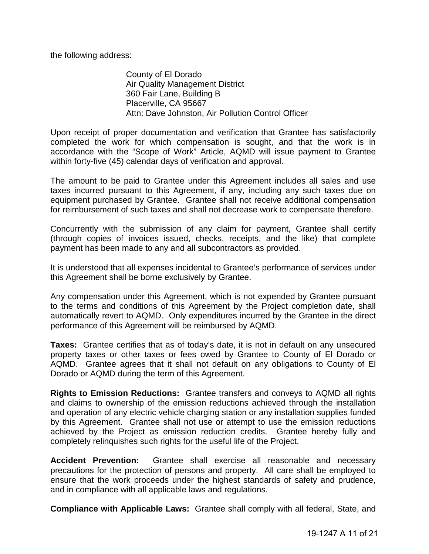the following address:

County of El Dorado Air Quality Management District 360 Fair Lane, Building B Placerville, CA 95667 Attn: Dave Johnston, Air Pollution Control Officer

Upon receipt of proper documentation and verification that Grantee has satisfactorily completed the work for which compensation is sought, and that the work is in accordance with the "Scope of Work" Article, AQMD will issue payment to Grantee within forty-five (45) calendar days of verification and approval.

The amount to be paid to Grantee under this Agreement includes all sales and use taxes incurred pursuant to this Agreement, if any, including any such taxes due on equipment purchased by Grantee. Grantee shall not receive additional compensation for reimbursement of such taxes and shall not decrease work to compensate therefore.

Concurrently with the submission of any claim for payment, Grantee shall certify (through copies of invoices issued, checks, receipts, and the like) that complete payment has been made to any and all subcontractors as provided.

It is understood that all expenses incidental to Grantee's performance of services under this Agreement shall be borne exclusively by Grantee.

Any compensation under this Agreement, which is not expended by Grantee pursuant to the terms and conditions of this Agreement by the Project completion date, shall automatically revert to AQMD. Only expenditures incurred by the Grantee in the direct performance of this Agreement will be reimbursed by AQMD.

**Taxes:** Grantee certifies that as of today's date, it is not in default on any unsecured property taxes or other taxes or fees owed by Grantee to County of El Dorado or AQMD. Grantee agrees that it shall not default on any obligations to County of El Dorado or AQMD during the term of this Agreement.

**Rights to Emission Reductions:** Grantee transfers and conveys to AQMD all rights and claims to ownership of the emission reductions achieved through the installation and operation of any electric vehicle charging station or any installation supplies funded by this Agreement. Grantee shall not use or attempt to use the emission reductions achieved by the Project as emission reduction credits. Grantee hereby fully and completely relinquishes such rights for the useful life of the Project.

**Accident Prevention:** Grantee shall exercise all reasonable and necessary precautions for the protection of persons and property. All care shall be employed to ensure that the work proceeds under the highest standards of safety and prudence, and in compliance with all applicable laws and regulations.

**Compliance with Applicable Laws:** Grantee shall comply with all federal, State, and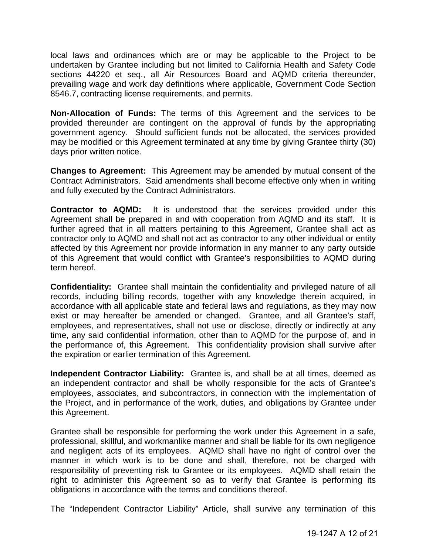local laws and ordinances which are or may be applicable to the Project to be undertaken by Grantee including but not limited to California Health and Safety Code sections 44220 et seq., all Air Resources Board and AQMD criteria thereunder, prevailing wage and work day definitions where applicable, Government Code Section 8546.7, contracting license requirements, and permits.

**Non-Allocation of Funds:** The terms of this Agreement and the services to be provided thereunder are contingent on the approval of funds by the appropriating government agency. Should sufficient funds not be allocated, the services provided may be modified or this Agreement terminated at any time by giving Grantee thirty (30) days prior written notice.

**Changes to Agreement:** This Agreement may be amended by mutual consent of the Contract Administrators. Said amendments shall become effective only when in writing and fully executed by the Contract Administrators.

**Contractor to AQMD:** It is understood that the services provided under this Agreement shall be prepared in and with cooperation from AQMD and its staff. It is further agreed that in all matters pertaining to this Agreement, Grantee shall act as contractor only to AQMD and shall not act as contractor to any other individual or entity affected by this Agreement nor provide information in any manner to any party outside of this Agreement that would conflict with Grantee's responsibilities to AQMD during term hereof.

**Confidentiality:** Grantee shall maintain the confidentiality and privileged nature of all records, including billing records, together with any knowledge therein acquired, in accordance with all applicable state and federal laws and regulations, as they may now exist or may hereafter be amended or changed. Grantee, and all Grantee's staff, employees, and representatives, shall not use or disclose, directly or indirectly at any time, any said confidential information, other than to AQMD for the purpose of, and in the performance of, this Agreement. This confidentiality provision shall survive after the expiration or earlier termination of this Agreement.

**Independent Contractor Liability:** Grantee is, and shall be at all times, deemed as an independent contractor and shall be wholly responsible for the acts of Grantee's employees, associates, and subcontractors, in connection with the implementation of the Project, and in performance of the work, duties, and obligations by Grantee under this Agreement.

Grantee shall be responsible for performing the work under this Agreement in a safe, professional, skillful, and workmanlike manner and shall be liable for its own negligence and negligent acts of its employees. AQMD shall have no right of control over the manner in which work is to be done and shall, therefore, not be charged with responsibility of preventing risk to Grantee or its employees. AQMD shall retain the right to administer this Agreement so as to verify that Grantee is performing its obligations in accordance with the terms and conditions thereof.

The "Independent Contractor Liability" Article, shall survive any termination of this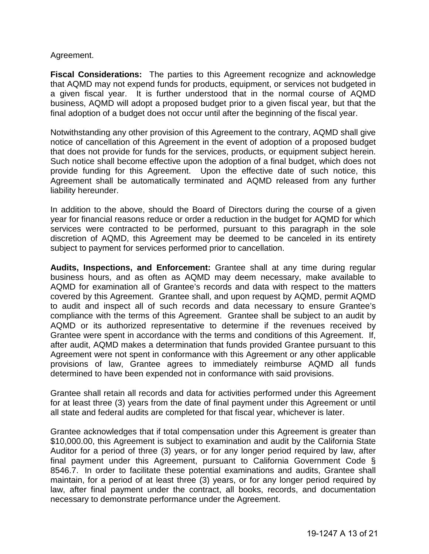#### Agreement.

**Fiscal Considerations:** The parties to this Agreement recognize and acknowledge that AQMD may not expend funds for products, equipment, or services not budgeted in a given fiscal year. It is further understood that in the normal course of AQMD business, AQMD will adopt a proposed budget prior to a given fiscal year, but that the final adoption of a budget does not occur until after the beginning of the fiscal year.

Notwithstanding any other provision of this Agreement to the contrary, AQMD shall give notice of cancellation of this Agreement in the event of adoption of a proposed budget that does not provide for funds for the services, products, or equipment subject herein. Such notice shall become effective upon the adoption of a final budget, which does not provide funding for this Agreement. Upon the effective date of such notice, this Agreement shall be automatically terminated and AQMD released from any further liability hereunder.

In addition to the above, should the Board of Directors during the course of a given year for financial reasons reduce or order a reduction in the budget for AQMD for which services were contracted to be performed, pursuant to this paragraph in the sole discretion of AQMD, this Agreement may be deemed to be canceled in its entirety subject to payment for services performed prior to cancellation.

**Audits, Inspections, and Enforcement:** Grantee shall at any time during regular business hours, and as often as AQMD may deem necessary, make available to AQMD for examination all of Grantee's records and data with respect to the matters covered by this Agreement. Grantee shall, and upon request by AQMD, permit AQMD to audit and inspect all of such records and data necessary to ensure Grantee's compliance with the terms of this Agreement. Grantee shall be subject to an audit by AQMD or its authorized representative to determine if the revenues received by Grantee were spent in accordance with the terms and conditions of this Agreement. If, after audit, AQMD makes a determination that funds provided Grantee pursuant to this Agreement were not spent in conformance with this Agreement or any other applicable provisions of law, Grantee agrees to immediately reimburse AQMD all funds determined to have been expended not in conformance with said provisions.

Grantee shall retain all records and data for activities performed under this Agreement for at least three (3) years from the date of final payment under this Agreement or until all state and federal audits are completed for that fiscal year, whichever is later.

Grantee acknowledges that if total compensation under this Agreement is greater than \$10,000.00, this Agreement is subject to examination and audit by the California State Auditor for a period of three (3) years, or for any longer period required by law, after final payment under this Agreement, pursuant to California Government Code § 8546.7. In order to facilitate these potential examinations and audits, Grantee shall maintain, for a period of at least three (3) years, or for any longer period required by law, after final payment under the contract, all books, records, and documentation necessary to demonstrate performance under the Agreement.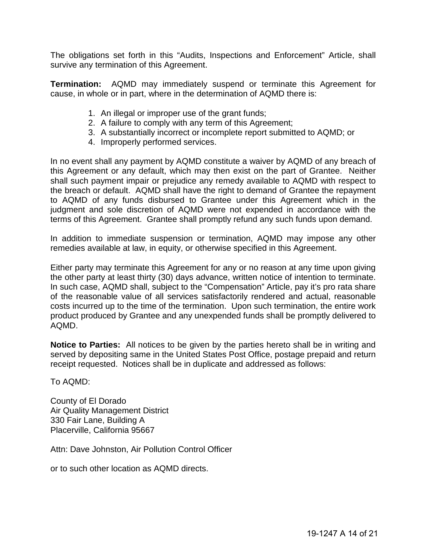The obligations set forth in this "Audits, Inspections and Enforcement" Article, shall survive any termination of this Agreement.

**Termination:** AQMD may immediately suspend or terminate this Agreement for cause, in whole or in part, where in the determination of AQMD there is:

- 1. An illegal or improper use of the grant funds;
- 2. A failure to comply with any term of this Agreement;
- 3. A substantially incorrect or incomplete report submitted to AQMD; or
- 4. Improperly performed services.

In no event shall any payment by AQMD constitute a waiver by AQMD of any breach of this Agreement or any default, which may then exist on the part of Grantee. Neither shall such payment impair or prejudice any remedy available to AQMD with respect to the breach or default. AQMD shall have the right to demand of Grantee the repayment to AQMD of any funds disbursed to Grantee under this Agreement which in the judgment and sole discretion of AQMD were not expended in accordance with the terms of this Agreement. Grantee shall promptly refund any such funds upon demand.

In addition to immediate suspension or termination, AQMD may impose any other remedies available at law, in equity, or otherwise specified in this Agreement.

Either party may terminate this Agreement for any or no reason at any time upon giving the other party at least thirty (30) days advance, written notice of intention to terminate. In such case, AQMD shall, subject to the "Compensation" Article, pay it's pro rata share of the reasonable value of all services satisfactorily rendered and actual, reasonable costs incurred up to the time of the termination. Upon such termination, the entire work product produced by Grantee and any unexpended funds shall be promptly delivered to AQMD.

**Notice to Parties:** All notices to be given by the parties hereto shall be in writing and served by depositing same in the United States Post Office, postage prepaid and return receipt requested. Notices shall be in duplicate and addressed as follows:

To AQMD:

County of El Dorado Air Quality Management District 330 Fair Lane, Building A Placerville, California 95667

Attn: Dave Johnston, Air Pollution Control Officer

or to such other location as AQMD directs.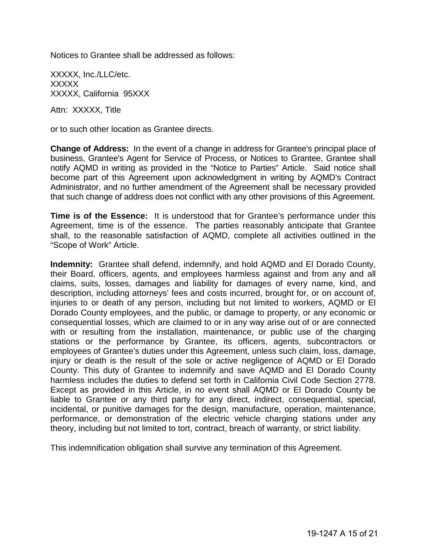Notices to Grantee shall be addressed as follows:

XXXXX, Inc./LLC/etc. XXXXX XXXXX, California 95XXX

Attn: XXXXX, Title

or to such other location as Grantee directs.

**Change of Address:** In the event of a change in address for Grantee's principal place of business, Grantee's Agent for Service of Process, or Notices to Grantee, Grantee shall notify AQMD in writing as provided in the "Notice to Parties" Article. Said notice shall become part of this Agreement upon acknowledgment in writing by AQMD's Contract Administrator, and no further amendment of the Agreement shall be necessary provided that such change of address does not conflict with any other provisions of this Agreement.

**Time is of the Essence:** It is understood that for Grantee's performance under this Agreement, time is of the essence. The parties reasonably anticipate that Grantee shall, to the reasonable satisfaction of AQMD, complete all activities outlined in the "Scope of Work" Article.

**Indemnity:** Grantee shall defend, indemnify, and hold AQMD and El Dorado County, their Board, officers, agents, and employees harmless against and from any and all claims, suits, losses, damages and liability for damages of every name, kind, and description, including attorneys' fees and costs incurred, brought for, or on account of, injuries to or death of any person, including but not limited to workers, AQMD or El Dorado County employees, and the public, or damage to property, or any economic or consequential losses, which are claimed to or in any way arise out of or are connected with or resulting from the installation, maintenance, or public use of the charging stations or the performance by Grantee, its officers, agents, subcontractors or employees of Grantee's duties under this Agreement, unless such claim, loss, damage, injury or death is the result of the sole or active negligence of AQMD or El Dorado County. This duty of Grantee to indemnify and save AQMD and El Dorado County harmless includes the duties to defend set forth in California Civil Code Section 2778. Except as provided in this Article, in no event shall AQMD or El Dorado County be liable to Grantee or any third party for any direct, indirect, consequential, special, incidental, or punitive damages for the design, manufacture, operation, maintenance, performance, or demonstration of the electric vehicle charging stations under any theory, including but not limited to tort, contract, breach of warranty, or strict liability.

This indemnification obligation shall survive any termination of this Agreement.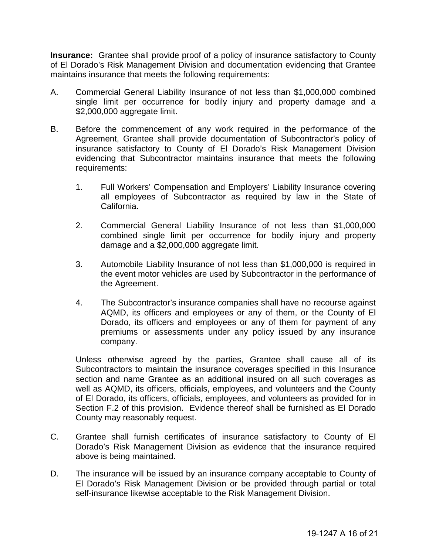**Insurance:** Grantee shall provide proof of a policy of insurance satisfactory to County of El Dorado's Risk Management Division and documentation evidencing that Grantee maintains insurance that meets the following requirements:

- A. Commercial General Liability Insurance of not less than \$1,000,000 combined single limit per occurrence for bodily injury and property damage and a \$2,000,000 aggregate limit.
- B. Before the commencement of any work required in the performance of the Agreement, Grantee shall provide documentation of Subcontractor's policy of insurance satisfactory to County of El Dorado's Risk Management Division evidencing that Subcontractor maintains insurance that meets the following requirements:
	- 1. Full Workers' Compensation and Employers' Liability Insurance covering all employees of Subcontractor as required by law in the State of California.
	- 2. Commercial General Liability Insurance of not less than \$1,000,000 combined single limit per occurrence for bodily injury and property damage and a \$2,000,000 aggregate limit.
	- 3. Automobile Liability Insurance of not less than \$1,000,000 is required in the event motor vehicles are used by Subcontractor in the performance of the Agreement.
	- 4. The Subcontractor's insurance companies shall have no recourse against AQMD, its officers and employees or any of them, or the County of El Dorado, its officers and employees or any of them for payment of any premiums or assessments under any policy issued by any insurance company.

Unless otherwise agreed by the parties, Grantee shall cause all of its Subcontractors to maintain the insurance coverages specified in this Insurance section and name Grantee as an additional insured on all such coverages as well as AQMD, its officers, officials, employees, and volunteers and the County of El Dorado, its officers, officials, employees, and volunteers as provided for in Section F.2 of this provision. Evidence thereof shall be furnished as El Dorado County may reasonably request.

- C. Grantee shall furnish certificates of insurance satisfactory to County of El Dorado's Risk Management Division as evidence that the insurance required above is being maintained.
- D. The insurance will be issued by an insurance company acceptable to County of El Dorado's Risk Management Division or be provided through partial or total self-insurance likewise acceptable to the Risk Management Division.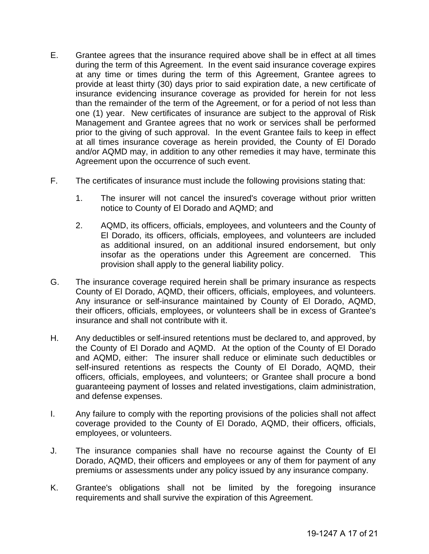- E. Grantee agrees that the insurance required above shall be in effect at all times during the term of this Agreement. In the event said insurance coverage expires at any time or times during the term of this Agreement, Grantee agrees to provide at least thirty (30) days prior to said expiration date, a new certificate of insurance evidencing insurance coverage as provided for herein for not less than the remainder of the term of the Agreement, or for a period of not less than one (1) year. New certificates of insurance are subject to the approval of Risk Management and Grantee agrees that no work or services shall be performed prior to the giving of such approval. In the event Grantee fails to keep in effect at all times insurance coverage as herein provided, the County of El Dorado and/or AQMD may, in addition to any other remedies it may have, terminate this Agreement upon the occurrence of such event.
- F. The certificates of insurance must include the following provisions stating that:
	- 1. The insurer will not cancel the insured's coverage without prior written notice to County of El Dorado and AQMD; and
	- 2. AQMD, its officers, officials, employees, and volunteers and the County of El Dorado, its officers, officials, employees, and volunteers are included as additional insured, on an additional insured endorsement, but only insofar as the operations under this Agreement are concerned. This provision shall apply to the general liability policy.
- G. The insurance coverage required herein shall be primary insurance as respects County of El Dorado, AQMD, their officers, officials, employees, and volunteers. Any insurance or self-insurance maintained by County of El Dorado, AQMD, their officers, officials, employees, or volunteers shall be in excess of Grantee's insurance and shall not contribute with it.
- H. Any deductibles or self-insured retentions must be declared to, and approved, by the County of El Dorado and AQMD. At the option of the County of El Dorado and AQMD, either: The insurer shall reduce or eliminate such deductibles or self-insured retentions as respects the County of El Dorado, AQMD, their officers, officials, employees, and volunteers; or Grantee shall procure a bond guaranteeing payment of losses and related investigations, claim administration, and defense expenses.
- I. Any failure to comply with the reporting provisions of the policies shall not affect coverage provided to the County of El Dorado, AQMD, their officers, officials, employees, or volunteers.
- J. The insurance companies shall have no recourse against the County of El Dorado, AQMD, their officers and employees or any of them for payment of any premiums or assessments under any policy issued by any insurance company.
- K. Grantee's obligations shall not be limited by the foregoing insurance requirements and shall survive the expiration of this Agreement.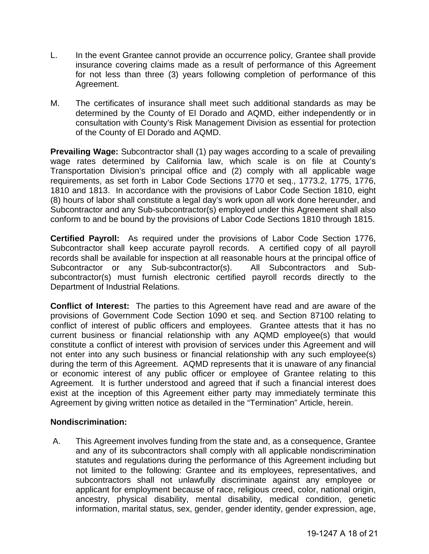- L. In the event Grantee cannot provide an occurrence policy, Grantee shall provide insurance covering claims made as a result of performance of this Agreement for not less than three (3) years following completion of performance of this Agreement.
- M. The certificates of insurance shall meet such additional standards as may be determined by the County of El Dorado and AQMD, either independently or in consultation with County's Risk Management Division as essential for protection of the County of El Dorado and AQMD.

**Prevailing Wage:** Subcontractor shall (1) pay wages according to a scale of prevailing wage rates determined by California law, which scale is on file at County's Transportation Division's principal office and (2) comply with all applicable wage requirements, as set forth in Labor Code Sections 1770 et seq., 1773.2, 1775, 1776, 1810 and 1813. In accordance with the provisions of Labor Code Section 1810, eight (8) hours of labor shall constitute a legal day's work upon all work done hereunder, and Subcontractor and any Sub-subcontractor(s) employed under this Agreement shall also conform to and be bound by the provisions of Labor Code Sections 1810 through 1815.

**Certified Payroll:** As required under the provisions of Labor Code Section 1776, Subcontractor shall keep accurate payroll records. A certified copy of all payroll records shall be available for inspection at all reasonable hours at the principal office of Subcontractor or any Sub-subcontractor(s). All Subcontractors and Subsubcontractor(s) must furnish electronic certified payroll records directly to the Department of Industrial Relations.

**Conflict of Interest:** The parties to this Agreement have read and are aware of the provisions of Government Code Section 1090 et seq. and Section 87100 relating to conflict of interest of public officers and employees. Grantee attests that it has no current business or financial relationship with any AQMD employee(s) that would constitute a conflict of interest with provision of services under this Agreement and will not enter into any such business or financial relationship with any such employee(s) during the term of this Agreement. AQMD represents that it is unaware of any financial or economic interest of any public officer or employee of Grantee relating to this Agreement. It is further understood and agreed that if such a financial interest does exist at the inception of this Agreement either party may immediately terminate this Agreement by giving written notice as detailed in the "Termination" Article, herein.

#### **Nondiscrimination:**

A. This Agreement involves funding from the state and, as a consequence, Grantee and any of its subcontractors shall comply with all applicable nondiscrimination statutes and regulations during the performance of this Agreement including but not limited to the following: Grantee and its employees, representatives, and subcontractors shall not unlawfully discriminate against any employee or applicant for employment because of race, religious creed, color, national origin, ancestry, physical disability, mental disability, medical condition, genetic information, marital status, sex, gender, gender identity, gender expression, age,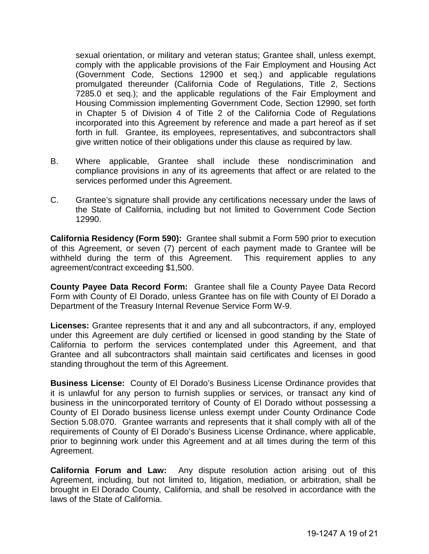sexual orientation, or military and veteran status; Grantee shall, unless exempt, comply with the applicable provisions of the Fair Employment and Housing Act (Government Code, Sections 12900 et seq.) and applicable regulations promulgated thereunder (California Code of Regulations, Title 2, Sections 7285.0 et seq.); and the applicable regulations of the Fair Employment and Housing Commission implementing Government Code, Section 12990, set forth in Chapter 5 of Division 4 of Title 2 of the California Code of Regulations incorporated into this Agreement by reference and made a part hereof as if set forth in full. Grantee, its employees, representatives, and subcontractors shall give written notice of their obligations under this clause as required by law.

- B. Where applicable, Grantee shall include these nondiscrimination and compliance provisions in any of its agreements that affect or are related to the services performed under this Agreement.
- C. Grantee's signature shall provide any certifications necessary under the laws of the State of California, including but not limited to Government Code Section 12990.

**California Residency (Form 590):** Grantee shall submit a Form 590 prior to execution of this Agreement, or seven (7) percent of each payment made to Grantee will be withheld during the term of this Agreement. This requirement applies to any agreement/contract exceeding \$1,500.

**County Payee Data Record Form:** Grantee shall file a County Payee Data Record Form with County of El Dorado, unless Grantee has on file with County of El Dorado a Department of the Treasury Internal Revenue Service Form W-9.

**Licenses:** Grantee represents that it and any and all subcontractors, if any, employed under this Agreement are duly certified or licensed in good standing by the State of California to perform the services contemplated under this Agreement, and that Grantee and all subcontractors shall maintain said certificates and licenses in good standing throughout the term of this Agreement.

**Business License:** County of El Dorado's Business License Ordinance provides that it is unlawful for any person to furnish supplies or services, or transact any kind of business in the unincorporated territory of County of El Dorado without possessing a County of El Dorado business license unless exempt under County Ordinance Code Section 5.08.070. Grantee warrants and represents that it shall comply with all of the requirements of County of El Dorado's Business License Ordinance, where applicable, prior to beginning work under this Agreement and at all times during the term of this Agreement.

**California Forum and Law:** Any dispute resolution action arising out of this Agreement, including, but not limited to, litigation, mediation, or arbitration, shall be brought in El Dorado County, California, and shall be resolved in accordance with the laws of the State of California.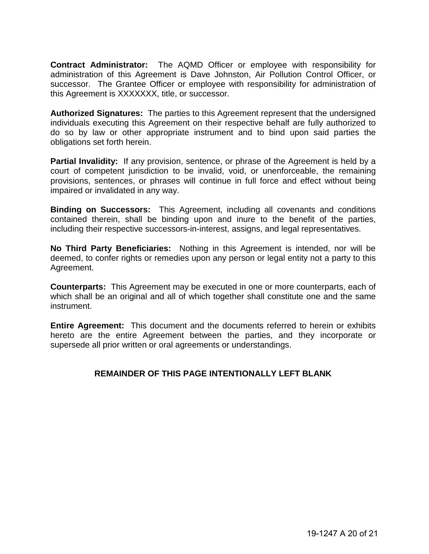**Contract Administrator:** The AQMD Officer or employee with responsibility for administration of this Agreement is Dave Johnston, Air Pollution Control Officer, or successor. The Grantee Officer or employee with responsibility for administration of this Agreement is XXXXXXX, title, or successor.

**Authorized Signatures:** The parties to this Agreement represent that the undersigned individuals executing this Agreement on their respective behalf are fully authorized to do so by law or other appropriate instrument and to bind upon said parties the obligations set forth herein.

**Partial Invalidity:** If any provision, sentence, or phrase of the Agreement is held by a court of competent jurisdiction to be invalid, void, or unenforceable, the remaining provisions, sentences, or phrases will continue in full force and effect without being impaired or invalidated in any way.

**Binding on Successors:** This Agreement, including all covenants and conditions contained therein, shall be binding upon and inure to the benefit of the parties, including their respective successors-in-interest, assigns, and legal representatives.

**No Third Party Beneficiaries:** Nothing in this Agreement is intended, nor will be deemed, to confer rights or remedies upon any person or legal entity not a party to this Agreement.

**Counterparts:** This Agreement may be executed in one or more counterparts, each of which shall be an original and all of which together shall constitute one and the same instrument.

**Entire Agreement:** This document and the documents referred to herein or exhibits hereto are the entire Agreement between the parties, and they incorporate or supersede all prior written or oral agreements or understandings.

#### **REMAINDER OF THIS PAGE INTENTIONALLY LEFT BLANK**